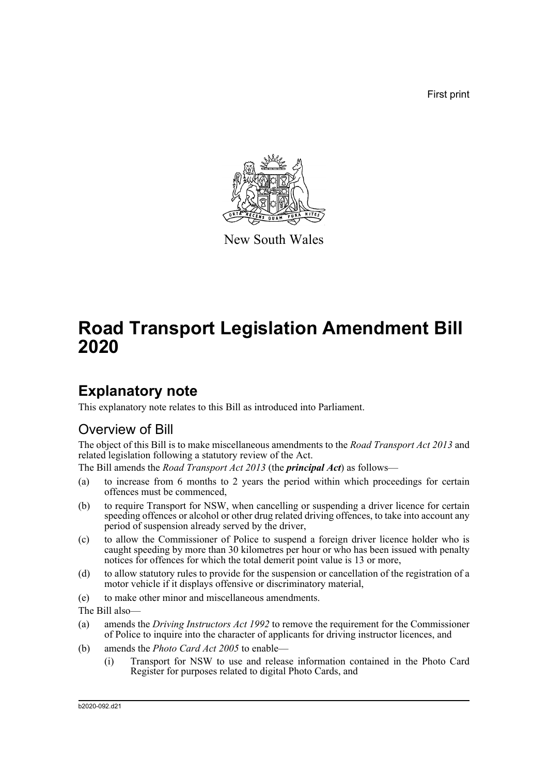First print



New South Wales

# **Road Transport Legislation Amendment Bill 2020**

# **Explanatory note**

This explanatory note relates to this Bill as introduced into Parliament.

# Overview of Bill

The object of this Bill is to make miscellaneous amendments to the *Road Transport Act 2013* and related legislation following a statutory review of the Act.

The Bill amends the *Road Transport Act 2013* (the *principal Act*) as follows—

- (a) to increase from 6 months to 2 years the period within which proceedings for certain offences must be commenced,
- (b) to require Transport for NSW, when cancelling or suspending a driver licence for certain speeding offences or alcohol or other drug related driving offences, to take into account any period of suspension already served by the driver,
- (c) to allow the Commissioner of Police to suspend a foreign driver licence holder who is caught speeding by more than 30 kilometres per hour or who has been issued with penalty notices for offences for which the total demerit point value is 13 or more,
- (d) to allow statutory rules to provide for the suspension or cancellation of the registration of a motor vehicle if it displays offensive or discriminatory material,
- (e) to make other minor and miscellaneous amendments.

The Bill also—

- (a) amends the *Driving Instructors Act 1992* to remove the requirement for the Commissioner of Police to inquire into the character of applicants for driving instructor licences, and
- (b) amends the *Photo Card Act 2005* to enable—
	- (i) Transport for NSW to use and release information contained in the Photo Card Register for purposes related to digital Photo Cards, and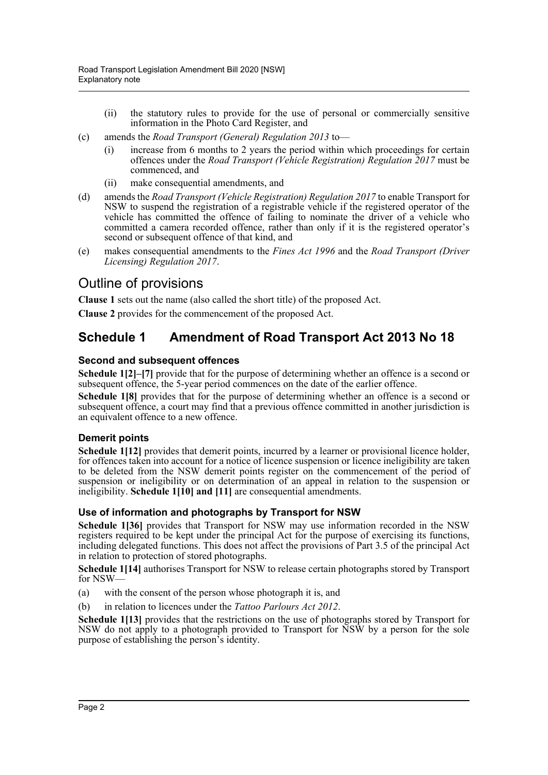- (ii) the statutory rules to provide for the use of personal or commercially sensitive information in the Photo Card Register, and
- (c) amends the *Road Transport (General) Regulation 2013* to—
	- (i) increase from 6 months to 2 years the period within which proceedings for certain offences under the *Road Transport (Vehicle Registration) Regulation 2017* must be commenced, and
	- (ii) make consequential amendments, and
- (d) amends the *Road Transport (Vehicle Registration) Regulation 2017* to enable Transport for NSW to suspend the registration of a registrable vehicle if the registered operator of the vehicle has committed the offence of failing to nominate the driver of a vehicle who committed a camera recorded offence, rather than only if it is the registered operator's second or subsequent offence of that kind, and
- (e) makes consequential amendments to the *Fines Act 1996* and the *Road Transport (Driver Licensing) Regulation 2017*.

# Outline of provisions

**Clause 1** sets out the name (also called the short title) of the proposed Act.

**Clause 2** provides for the commencement of the proposed Act.

# **Schedule 1 Amendment of Road Transport Act 2013 No 18**

## **Second and subsequent offences**

**Schedule 1[2]–[7]** provide that for the purpose of determining whether an offence is a second or subsequent offence, the 5-year period commences on the date of the earlier offence.

**Schedule 1[8]** provides that for the purpose of determining whether an offence is a second or subsequent offence, a court may find that a previous offence committed in another jurisdiction is an equivalent offence to a new offence.

### **Demerit points**

**Schedule 1[12]** provides that demerit points, incurred by a learner or provisional licence holder, for offences taken into account for a notice of licence suspension or licence ineligibility are taken to be deleted from the NSW demerit points register on the commencement of the period of suspension or ineligibility or on determination of an appeal in relation to the suspension or ineligibility. **Schedule 1[10] and [11]** are consequential amendments.

## **Use of information and photographs by Transport for NSW**

**Schedule 1[36]** provides that Transport for NSW may use information recorded in the NSW registers required to be kept under the principal Act for the purpose of exercising its functions, including delegated functions. This does not affect the provisions of Part 3.5 of the principal Act in relation to protection of stored photographs.

**Schedule 1[14]** authorises Transport for NSW to release certain photographs stored by Transport for NSW—

- (a) with the consent of the person whose photograph it is, and
- (b) in relation to licences under the *Tattoo Parlours Act 2012*.

**Schedule 1[13]** provides that the restrictions on the use of photographs stored by Transport for NSW do not apply to a photograph provided to Transport for NSW by a person for the sole purpose of establishing the person's identity.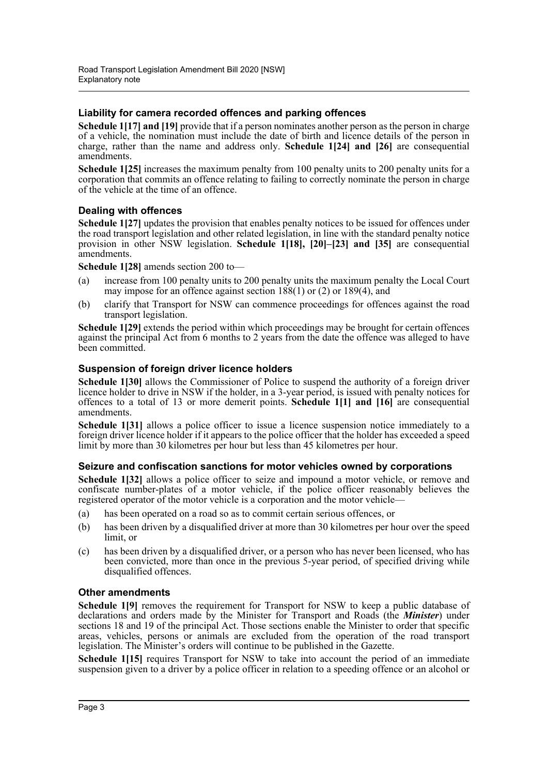## **Liability for camera recorded offences and parking offences**

**Schedule 1[17] and [19]** provide that if a person nominates another person as the person in charge of a vehicle, the nomination must include the date of birth and licence details of the person in charge, rather than the name and address only. **Schedule 1[24] and [26]** are consequential amendments.

**Schedule 1[25]** increases the maximum penalty from 100 penalty units to 200 penalty units for a corporation that commits an offence relating to failing to correctly nominate the person in charge of the vehicle at the time of an offence.

### **Dealing with offences**

**Schedule 1[27]** updates the provision that enables penalty notices to be issued for offences under the road transport legislation and other related legislation, in line with the standard penalty notice provision in other NSW legislation. **Schedule 1[18], [20]–[23] and [35]** are consequential amendments.

**Schedule 1[28]** amends section 200 to—

- (a) increase from 100 penalty units to 200 penalty units the maximum penalty the Local Court may impose for an offence against section  $188(1)$  or (2) or  $189(4)$ , and
- (b) clarify that Transport for NSW can commence proceedings for offences against the road transport legislation.

**Schedule 1[29]** extends the period within which proceedings may be brought for certain offences against the principal Act from 6 months to 2 years from the date the offence was alleged to have been committed.

## **Suspension of foreign driver licence holders**

**Schedule 1[30]** allows the Commissioner of Police to suspend the authority of a foreign driver licence holder to drive in NSW if the holder, in a 3-year period, is issued with penalty notices for offences to a total of 13 or more demerit points. **Schedule 1[1] and [16]** are consequential amendments.

**Schedule 1[31]** allows a police officer to issue a licence suspension notice immediately to a foreign driver licence holder if it appears to the police officer that the holder has exceeded a speed limit by more than 30 kilometres per hour but less than 45 kilometres per hour.

### **Seizure and confiscation sanctions for motor vehicles owned by corporations**

**Schedule 1[32]** allows a police officer to seize and impound a motor vehicle, or remove and confiscate number-plates of a motor vehicle, if the police officer reasonably believes the registered operator of the motor vehicle is a corporation and the motor vehicle—

- (a) has been operated on a road so as to commit certain serious offences, or
- (b) has been driven by a disqualified driver at more than 30 kilometres per hour over the speed limit, or
- (c) has been driven by a disqualified driver, or a person who has never been licensed, who has been convicted, more than once in the previous 5-year period, of specified driving while disqualified offences.

### **Other amendments**

**Schedule 1[9]** removes the requirement for Transport for NSW to keep a public database of declarations and orders made by the Minister for Transport and Roads (the *Minister*) under sections 18 and 19 of the principal Act. Those sections enable the Minister to order that specific areas, vehicles, persons or animals are excluded from the operation of the road transport legislation. The Minister's orders will continue to be published in the Gazette.

**Schedule 1[15]** requires Transport for NSW to take into account the period of an immediate suspension given to a driver by a police officer in relation to a speeding offence or an alcohol or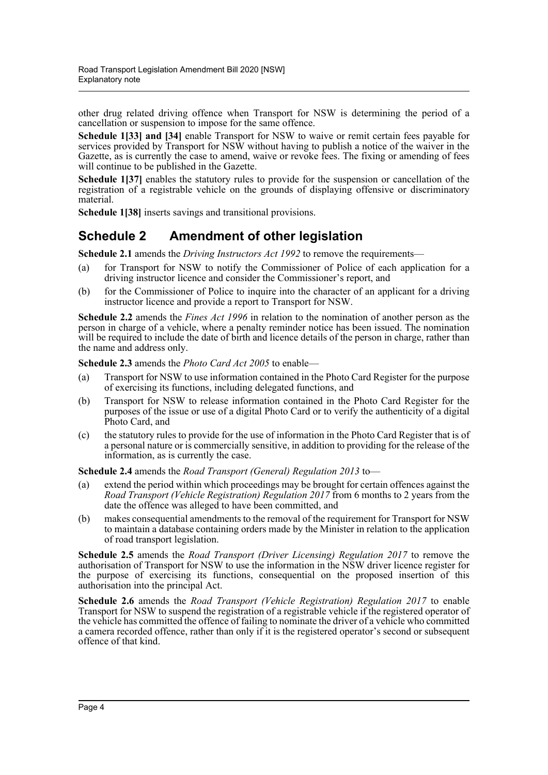other drug related driving offence when Transport for NSW is determining the period of a cancellation or suspension to impose for the same offence.

**Schedule 1[33] and [34]** enable Transport for NSW to waive or remit certain fees payable for services provided by Transport for NSW without having to publish a notice of the waiver in the Gazette, as is currently the case to amend, waive or revoke fees. The fixing or amending of fees will continue to be published in the Gazette.

**Schedule 1[37]** enables the statutory rules to provide for the suspension or cancellation of the registration of a registrable vehicle on the grounds of displaying offensive or discriminatory material.

**Schedule 1[38]** inserts savings and transitional provisions.

# **Schedule 2 Amendment of other legislation**

**Schedule 2.1** amends the *Driving Instructors Act 1992* to remove the requirements—

- (a) for Transport for NSW to notify the Commissioner of Police of each application for a driving instructor licence and consider the Commissioner's report, and
- (b) for the Commissioner of Police to inquire into the character of an applicant for a driving instructor licence and provide a report to Transport for NSW.

**Schedule 2.2** amends the *Fines Act 1996* in relation to the nomination of another person as the person in charge of a vehicle, where a penalty reminder notice has been issued. The nomination will be required to include the date of birth and licence details of the person in charge, rather than the name and address only.

**Schedule 2.3** amends the *Photo Card Act 2005* to enable—

- (a) Transport for NSW to use information contained in the Photo Card Register for the purpose of exercising its functions, including delegated functions, and
- (b) Transport for NSW to release information contained in the Photo Card Register for the purposes of the issue or use of a digital Photo Card or to verify the authenticity of a digital Photo Card, and
- (c) the statutory rules to provide for the use of information in the Photo Card Register that is of a personal nature or is commercially sensitive, in addition to providing for the release of the information, as is currently the case.

**Schedule 2.4** amends the *Road Transport (General) Regulation 2013* to—

- (a) extend the period within which proceedings may be brought for certain offences against the *Road Transport (Vehicle Registration) Regulation 2017* from 6 months to 2 years from the date the offence was alleged to have been committed, and
- (b) makes consequential amendments to the removal of the requirement for Transport for NSW to maintain a database containing orders made by the Minister in relation to the application of road transport legislation.

**Schedule 2.5** amends the *Road Transport (Driver Licensing) Regulation 2017* to remove the authorisation of Transport for NSW to use the information in the NSW driver licence register for the purpose of exercising its functions, consequential on the proposed insertion of this authorisation into the principal Act.

**Schedule 2.6** amends the *Road Transport (Vehicle Registration) Regulation 2017* to enable Transport for NSW to suspend the registration of a registrable vehicle if the registered operator of the vehicle has committed the offence of failing to nominate the driver of a vehicle who committed a camera recorded offence, rather than only if it is the registered operator's second or subsequent offence of that kind.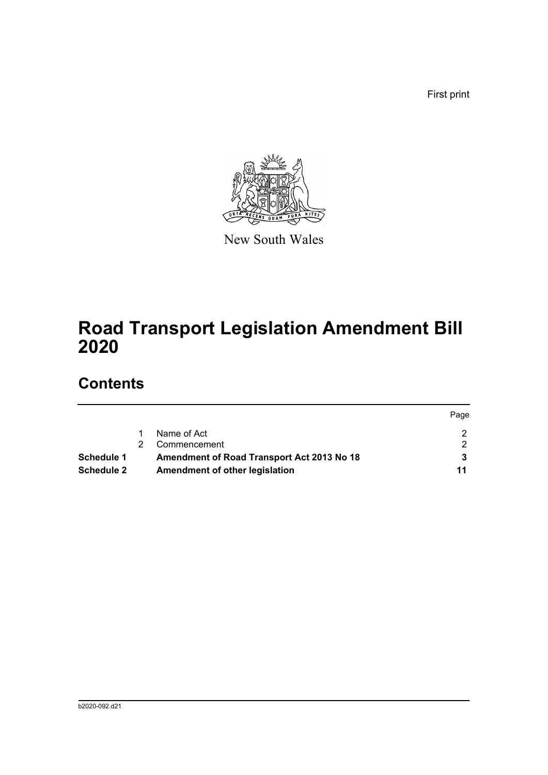First print



New South Wales

# **Road Transport Legislation Amendment Bill 2020**

# **Contents**

|                   |                                            | Page |
|-------------------|--------------------------------------------|------|
|                   | Name of Act                                |      |
|                   | Commencement                               |      |
| Schedule 1        | Amendment of Road Transport Act 2013 No 18 |      |
| <b>Schedule 2</b> | Amendment of other legislation             | 11   |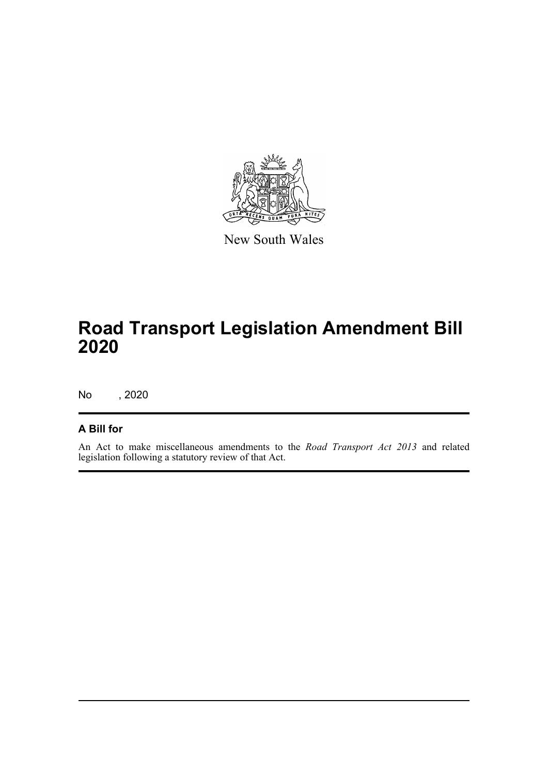

New South Wales

# **Road Transport Legislation Amendment Bill 2020**

No , 2020

## **A Bill for**

An Act to make miscellaneous amendments to the *Road Transport Act 2013* and related legislation following a statutory review of that Act.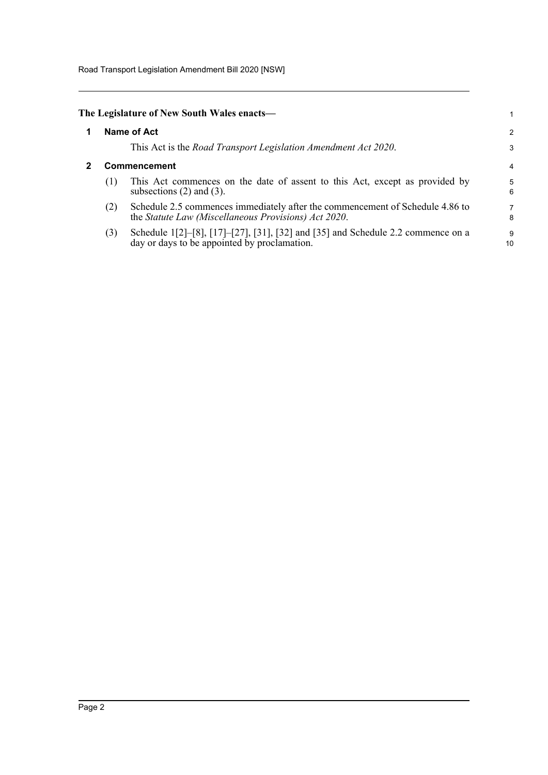Road Transport Legislation Amendment Bill 2020 [NSW]

<span id="page-6-1"></span><span id="page-6-0"></span>

|              | The Legislature of New South Wales enacts—                                                                                            |         |  |  |
|--------------|---------------------------------------------------------------------------------------------------------------------------------------|---------|--|--|
|              | Name of Act                                                                                                                           | 2       |  |  |
|              | This Act is the <i>Road Transport Legislation Amendment Act 2020</i> .                                                                | 3       |  |  |
| Commencement |                                                                                                                                       |         |  |  |
| (1)          | This Act commences on the date of assent to this Act, except as provided by<br>subsections $(2)$ and $(3)$ .                          | 5<br>6  |  |  |
| (2)          | Schedule 2.5 commences immediately after the commencement of Schedule 4.86 to<br>the Statute Law (Miscellaneous Provisions) Act 2020. | 7<br>8  |  |  |
| (3)          | Schedule 1[2]-[8], [17]-[27], [31], [32] and [35] and Schedule 2.2 commence on a day or days to be appointed by proclamation.         | 9<br>10 |  |  |
|              |                                                                                                                                       |         |  |  |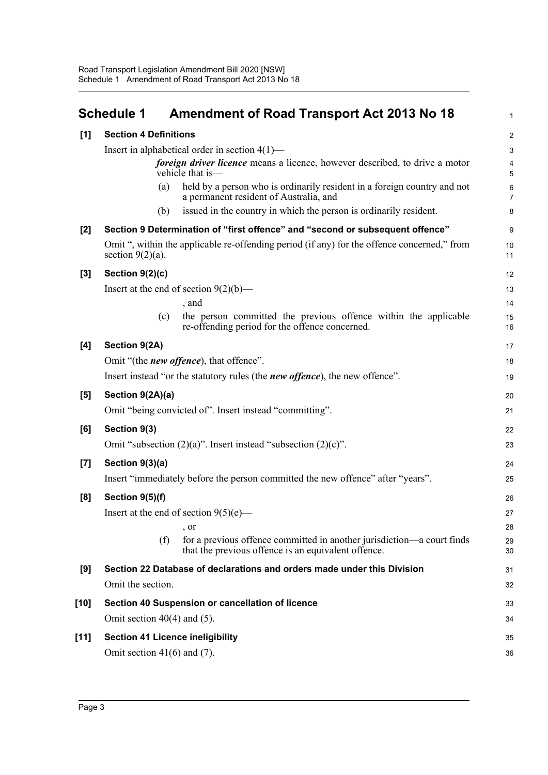<span id="page-7-0"></span>

|        | <b>Schedule 1</b><br><b>Amendment of Road Transport Act 2013 No 18</b>                                                               | 1                       |
|--------|--------------------------------------------------------------------------------------------------------------------------------------|-------------------------|
| [1]    | <b>Section 4 Definitions</b>                                                                                                         | $\overline{2}$          |
|        | Insert in alphabetical order in section $4(1)$ —                                                                                     | 3                       |
|        | foreign driver licence means a licence, however described, to drive a motor<br>vehicle that is-                                      | 4<br>5                  |
|        | held by a person who is ordinarily resident in a foreign country and not<br>(a)<br>a permanent resident of Australia, and            | $\,6$<br>$\overline{7}$ |
|        | issued in the country in which the person is ordinarily resident.<br>(b)                                                             | 8                       |
| [2]    | Section 9 Determination of "first offence" and "second or subsequent offence"                                                        | 9                       |
|        | Omit ", within the applicable re-offending period (if any) for the offence concerned," from<br>section $9(2)(a)$ .                   | 10<br>11                |
| [3]    | Section 9(2)(c)                                                                                                                      | 12                      |
|        | Insert at the end of section $9(2)(b)$ —                                                                                             | 13                      |
|        | , and                                                                                                                                | 14                      |
|        | the person committed the previous offence within the applicable<br>(c)<br>re-offending period for the offence concerned.             | 15<br>16                |
| [4]    | Section 9(2A)                                                                                                                        | 17                      |
|        | Omit "(the <i>new offence</i> ), that offence".                                                                                      | 18                      |
|        | Insert instead "or the statutory rules (the <i>new offence</i> ), the new offence".                                                  | 19                      |
| [5]    | Section 9(2A)(a)                                                                                                                     | 20                      |
|        | Omit "being convicted of". Insert instead "committing".                                                                              | 21                      |
| [6]    | Section 9(3)                                                                                                                         | 22                      |
|        | Omit "subsection $(2)(a)$ ". Insert instead "subsection $(2)(c)$ ".                                                                  | 23                      |
| [7]    | Section 9(3)(a)                                                                                                                      | 24                      |
|        | Insert "immediately before the person committed the new offence" after "years".                                                      | 25                      |
| [8]    | Section 9(5)(f)                                                                                                                      | 26                      |
|        | Insert at the end of section $9(5)(e)$ —                                                                                             | 27                      |
|        | , or                                                                                                                                 | 28                      |
|        | for a previous offence committed in another jurisdiction—a court finds<br>(f)<br>that the previous offence is an equivalent offence. | 29<br>30                |
| [9]    | Section 22 Database of declarations and orders made under this Division                                                              | 31                      |
|        | Omit the section.                                                                                                                    | 32                      |
| $[10]$ | Section 40 Suspension or cancellation of licence                                                                                     | 33                      |
|        | Omit section $40(4)$ and (5).                                                                                                        | 34                      |
| $[11]$ | <b>Section 41 Licence ineligibility</b>                                                                                              | 35                      |
|        | Omit section $41(6)$ and (7).                                                                                                        | 36                      |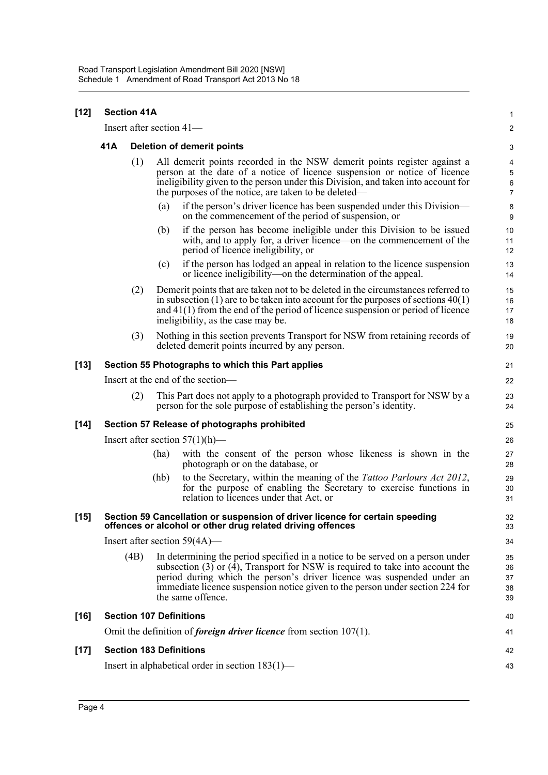| $[12]$ | <b>Section 41A</b>                |      |                                                                                                                                                                                                                                                                                                    |                                                                                                                                                                                                                                                                                                                                                      |                            |  |
|--------|-----------------------------------|------|----------------------------------------------------------------------------------------------------------------------------------------------------------------------------------------------------------------------------------------------------------------------------------------------------|------------------------------------------------------------------------------------------------------------------------------------------------------------------------------------------------------------------------------------------------------------------------------------------------------------------------------------------------------|----------------------------|--|
|        |                                   |      |                                                                                                                                                                                                                                                                                                    | Insert after section 41-                                                                                                                                                                                                                                                                                                                             | $\boldsymbol{2}$           |  |
|        | 41A                               |      | <b>Deletion of demerit points</b>                                                                                                                                                                                                                                                                  |                                                                                                                                                                                                                                                                                                                                                      |                            |  |
|        |                                   | (1)  | All demerit points recorded in the NSW demerit points register against a<br>person at the date of a notice of licence suspension or notice of licence<br>ineligibility given to the person under this Division, and taken into account for<br>the purposes of the notice, are taken to be deleted— |                                                                                                                                                                                                                                                                                                                                                      |                            |  |
|        |                                   |      | (a)                                                                                                                                                                                                                                                                                                | if the person's driver licence has been suspended under this Division—<br>on the commencement of the period of suspension, or                                                                                                                                                                                                                        | 8<br>$\boldsymbol{9}$      |  |
|        |                                   |      | (b)                                                                                                                                                                                                                                                                                                | if the person has become ineligible under this Division to be issued<br>with, and to apply for, a driver licence—on the commencement of the<br>period of licence ineligibility, or                                                                                                                                                                   | 10<br>11<br>12             |  |
|        |                                   |      | (c)                                                                                                                                                                                                                                                                                                | if the person has lodged an appeal in relation to the licence suspension<br>or licence ineligibility—on the determination of the appeal.                                                                                                                                                                                                             | 13<br>14                   |  |
|        |                                   | (2)  |                                                                                                                                                                                                                                                                                                    | Demerit points that are taken not to be deleted in the circumstances referred to<br>in subsection $(1)$ are to be taken into account for the purposes of sections $40(1)$<br>and $41(1)$ from the end of the period of licence suspension or period of licence<br>ineligibility, as the case may be.                                                 | 15<br>16<br>17<br>18       |  |
|        |                                   | (3)  |                                                                                                                                                                                                                                                                                                    | Nothing in this section prevents Transport for NSW from retaining records of<br>deleted demerit points incurred by any person.                                                                                                                                                                                                                       | 19<br>20                   |  |
| $[13]$ |                                   |      |                                                                                                                                                                                                                                                                                                    | Section 55 Photographs to which this Part applies                                                                                                                                                                                                                                                                                                    | 21                         |  |
|        | Insert at the end of the section- |      |                                                                                                                                                                                                                                                                                                    |                                                                                                                                                                                                                                                                                                                                                      |                            |  |
|        |                                   | (2)  |                                                                                                                                                                                                                                                                                                    | This Part does not apply to a photograph provided to Transport for NSW by a<br>person for the sole purpose of establishing the person's identity.                                                                                                                                                                                                    | 23<br>24                   |  |
| $[14]$ |                                   |      |                                                                                                                                                                                                                                                                                                    | Section 57 Release of photographs prohibited                                                                                                                                                                                                                                                                                                         | 25                         |  |
|        | Insert after section $57(1)(h)$ — |      |                                                                                                                                                                                                                                                                                                    |                                                                                                                                                                                                                                                                                                                                                      |                            |  |
|        |                                   |      | (ha)                                                                                                                                                                                                                                                                                               | with the consent of the person whose likeness is shown in the<br>photograph or on the database, or                                                                                                                                                                                                                                                   | 27<br>28                   |  |
|        |                                   |      | (hb)                                                                                                                                                                                                                                                                                               | to the Secretary, within the meaning of the <i>Tattoo Parlours Act 2012</i> ,<br>for the purpose of enabling the Secretary to exercise functions in<br>relation to licences under that Act, or                                                                                                                                                       | 29<br>30<br>31             |  |
| $[15]$ |                                   |      |                                                                                                                                                                                                                                                                                                    | Section 59 Cancellation or suspension of driver licence for certain speeding<br>offences or alcohol or other drug related driving offences                                                                                                                                                                                                           | 32<br>33                   |  |
|        |                                   |      |                                                                                                                                                                                                                                                                                                    | Insert after section $59(4A)$ —                                                                                                                                                                                                                                                                                                                      | 34                         |  |
|        |                                   | (4B) |                                                                                                                                                                                                                                                                                                    | In determining the period specified in a notice to be served on a person under<br>subsection $(3)$ or $(4)$ , Transport for NSW is required to take into account the<br>period during which the person's driver licence was suspended under an<br>immediate licence suspension notice given to the person under section 224 for<br>the same offence. | 35<br>36<br>37<br>38<br>39 |  |
| $[16]$ | <b>Section 107 Definitions</b>    |      |                                                                                                                                                                                                                                                                                                    |                                                                                                                                                                                                                                                                                                                                                      |                            |  |
|        |                                   |      |                                                                                                                                                                                                                                                                                                    | Omit the definition of <i>foreign driver licence</i> from section $107(1)$ .                                                                                                                                                                                                                                                                         | 41                         |  |
| $[17]$ |                                   |      |                                                                                                                                                                                                                                                                                                    | <b>Section 183 Definitions</b>                                                                                                                                                                                                                                                                                                                       | 42                         |  |
|        |                                   |      |                                                                                                                                                                                                                                                                                                    | Insert in alphabetical order in section 183(1)—                                                                                                                                                                                                                                                                                                      | 43                         |  |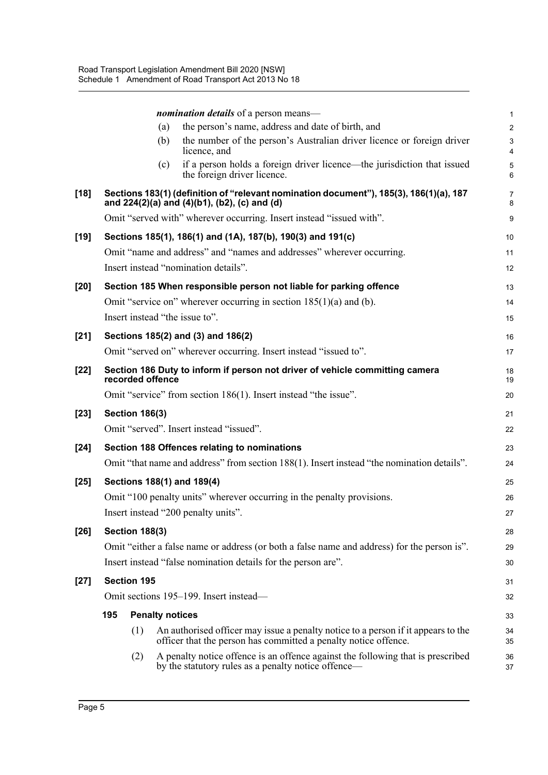|        |                                        |                        |     | nomination details of a person means-                                                                                                                | 1              |  |
|--------|----------------------------------------|------------------------|-----|------------------------------------------------------------------------------------------------------------------------------------------------------|----------------|--|
|        |                                        |                        | (a) | the person's name, address and date of birth, and                                                                                                    | $\overline{c}$ |  |
|        |                                        |                        | (b) | the number of the person's Australian driver licence or foreign driver<br>licence, and                                                               | 3<br>4         |  |
|        |                                        |                        | (c) | if a person holds a foreign driver licence—the jurisdiction that issued<br>the foreign driver licence.                                               | 5<br>6         |  |
| $[18]$ |                                        |                        |     | Sections 183(1) (definition of "relevant nomination document"), 185(3), 186(1)(a), 187<br>and 224(2)(a) and (4)(b1), (b2), (c) and (d)               | 7<br>8         |  |
|        |                                        |                        |     | Omit "served with" wherever occurring. Insert instead "issued with".                                                                                 | 9              |  |
| $[19]$ |                                        |                        |     | Sections 185(1), 186(1) and (1A), 187(b), 190(3) and 191(c)                                                                                          | 10             |  |
|        |                                        |                        |     | Omit "name and address" and "names and addresses" wherever occurring.                                                                                | 11             |  |
|        |                                        |                        |     | Insert instead "nomination details".                                                                                                                 | 12             |  |
| $[20]$ |                                        |                        |     | Section 185 When responsible person not liable for parking offence                                                                                   | 13             |  |
|        |                                        |                        |     | Omit "service on" wherever occurring in section $185(1)(a)$ and (b).                                                                                 | 14             |  |
|        |                                        |                        |     | Insert instead "the issue to".                                                                                                                       | 15             |  |
| $[21]$ |                                        |                        |     | Sections 185(2) and (3) and 186(2)                                                                                                                   | 16             |  |
|        |                                        |                        |     | Omit "served on" wherever occurring. Insert instead "issued to".                                                                                     | 17             |  |
| $[22]$ |                                        | recorded offence       |     | Section 186 Duty to inform if person not driver of vehicle committing camera                                                                         | 18<br>19       |  |
|        |                                        |                        |     | Omit "service" from section 186(1). Insert instead "the issue".                                                                                      | 20             |  |
| $[23]$ |                                        | <b>Section 186(3)</b>  |     |                                                                                                                                                      | 21             |  |
|        |                                        |                        |     | Omit "served". Insert instead "issued".                                                                                                              | 22             |  |
| $[24]$ |                                        |                        |     | Section 188 Offences relating to nominations                                                                                                         | 23             |  |
|        |                                        |                        |     | Omit "that name and address" from section 188(1). Insert instead "the nomination details".                                                           | 24             |  |
| $[25]$ |                                        |                        |     | Sections 188(1) and 189(4)                                                                                                                           | 25             |  |
|        |                                        |                        |     | Omit "100 penalty units" wherever occurring in the penalty provisions.                                                                               | 26             |  |
|        |                                        |                        |     | Insert instead "200 penalty units".                                                                                                                  | 27             |  |
| $[26]$ |                                        | <b>Section 188(3)</b>  |     |                                                                                                                                                      | 28             |  |
|        |                                        |                        |     | Omit "either a false name or address (or both a false name and address) for the person is".                                                          | 29             |  |
|        |                                        |                        |     | Insert instead "false nomination details for the person are".                                                                                        | 30             |  |
| $[27]$ |                                        | <b>Section 195</b>     |     |                                                                                                                                                      | 31             |  |
|        | Omit sections 195–199. Insert instead— |                        |     |                                                                                                                                                      |                |  |
|        | 195                                    | <b>Penalty notices</b> |     |                                                                                                                                                      | 33             |  |
|        |                                        | (1)                    |     | An authorised officer may issue a penalty notice to a person if it appears to the<br>officer that the person has committed a penalty notice offence. | 34<br>35       |  |
|        |                                        | (2)                    |     | A penalty notice offence is an offence against the following that is prescribed<br>by the statutory rules as a penalty notice offence—               | 36<br>37       |  |
|        |                                        |                        |     |                                                                                                                                                      |                |  |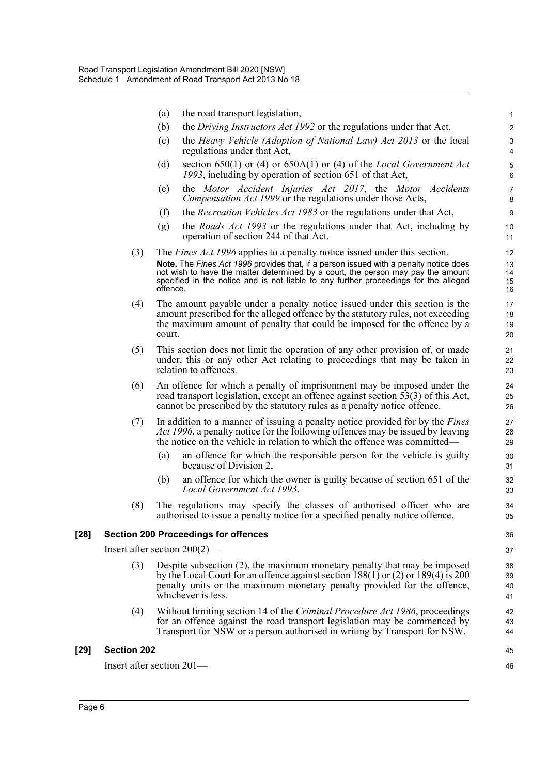|        |                                 | (a)      | the road transport legislation,                                                                                                                                                                                                                                   | 1                     |
|--------|---------------------------------|----------|-------------------------------------------------------------------------------------------------------------------------------------------------------------------------------------------------------------------------------------------------------------------|-----------------------|
|        |                                 | (b)      | the <i>Driving Instructors Act 1992</i> or the regulations under that Act,                                                                                                                                                                                        | $\overline{c}$        |
|        |                                 | (c)      | the <i>Heavy Vehicle (Adoption of National Law) Act 2013</i> or the local<br>regulations under that Act,                                                                                                                                                          | 3<br>$\overline{4}$   |
|        |                                 | (d)      | section 650(1) or (4) or 650A(1) or (4) of the Local Government Act<br>1993, including by operation of section 651 of that Act,                                                                                                                                   | 5<br>6                |
|        |                                 | (e)      | the Motor Accident Injuries Act 2017, the Motor Accidents<br>Compensation Act 1999 or the regulations under those Acts,                                                                                                                                           | $\boldsymbol{7}$<br>8 |
|        |                                 | (f)      | the <i>Recreation Vehicles Act 1983</i> or the regulations under that Act,                                                                                                                                                                                        | $\boldsymbol{9}$      |
|        |                                 | (g)      | the <i>Roads Act 1993</i> or the regulations under that Act, including by<br>operation of section 244 of that Act.                                                                                                                                                | 10<br>11              |
|        | (3)                             |          | The <i>Fines Act 1996</i> applies to a penalty notice issued under this section.                                                                                                                                                                                  | 12                    |
|        |                                 | offence. | Note. The Fines Act 1996 provides that, if a person issued with a penalty notice does<br>not wish to have the matter determined by a court, the person may pay the amount<br>specified in the notice and is not liable to any further proceedings for the alleged | 13<br>14<br>15<br>16  |
|        | (4)                             | court.   | The amount payable under a penalty notice issued under this section is the<br>amount prescribed for the alleged offence by the statutory rules, not exceeding<br>the maximum amount of penalty that could be imposed for the offence by a                         | 17<br>18<br>19<br>20  |
|        | (5)                             |          | This section does not limit the operation of any other provision of, or made<br>under, this or any other Act relating to proceedings that may be taken in<br>relation to offences.                                                                                | 21<br>22<br>23        |
|        | (6)                             |          | An offence for which a penalty of imprisonment may be imposed under the<br>road transport legislation, except an offence against section 53(3) of this Act,<br>cannot be prescribed by the statutory rules as a penalty notice offence.                           | 24<br>25<br>26        |
|        | (7)                             |          | In addition to a manner of issuing a penalty notice provided for by the <i>Fines</i><br>Act 1996, a penalty notice for the following offences may be issued by leaving<br>the notice on the vehicle in relation to which the offence was committed—               | 27<br>28<br>29        |
|        |                                 | (a)      | an offence for which the responsible person for the vehicle is guilty<br>because of Division 2,                                                                                                                                                                   | 30<br>31              |
|        |                                 | (b)      | an offence for which the owner is guilty because of section 651 of the<br>Local Government Act 1993.                                                                                                                                                              | 32<br>33              |
|        | (8)                             |          | The regulations may specify the classes of authorised officer who are<br>authorised to issue a penalty notice for a specified penalty notice offence.                                                                                                             | 34<br>35              |
| $[28]$ |                                 |          | <b>Section 200 Proceedings for offences</b>                                                                                                                                                                                                                       | 36                    |
|        | Insert after section $200(2)$ — |          |                                                                                                                                                                                                                                                                   | 37                    |
|        | (3)                             |          | Despite subsection (2), the maximum monetary penalty that may be imposed<br>by the Local Court for an offence against section $188(1)$ or (2) or $189(4)$ is 200<br>penalty units or the maximum monetary penalty provided for the offence,<br>whichever is less. | 38<br>39<br>40<br>41  |
|        | (4)                             |          | Without limiting section 14 of the Criminal Procedure Act 1986, proceedings<br>for an offence against the road transport legislation may be commenced by<br>Transport for NSW or a person authorised in writing by Transport for NSW.                             | 42<br>43<br>44        |
| $[29]$ | <b>Section 202</b>              |          |                                                                                                                                                                                                                                                                   | 45                    |
|        | Insert after section 201—       |          |                                                                                                                                                                                                                                                                   | 46                    |
|        |                                 |          |                                                                                                                                                                                                                                                                   |                       |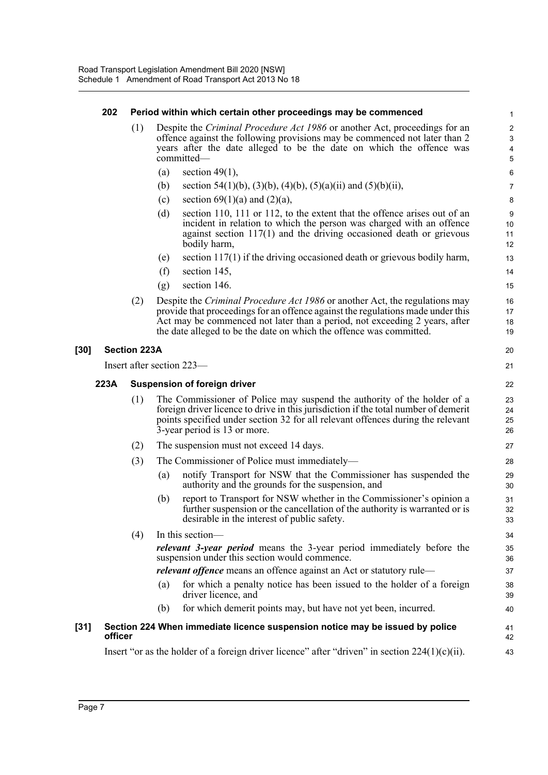#### **202 Period within which certain other proceedings may be commenced**

(1) Despite the *Criminal Procedure Act 1986* or another Act, proceedings for an offence against the following provisions may be commenced not later than 2 years after the date alleged to be the date on which the offence was committed—

20 21

35 36

38 39 40

41 42 43

- (a) section  $49(1)$ ,
- (b) section 54(1)(b), (3)(b), (4)(b), (5)(a)(ii) and (5)(b)(ii),
- (c) section  $69(1)(a)$  and  $(2)(a)$ ,
- (d) section 110, 111 or 112, to the extent that the offence arises out of an incident in relation to which the person was charged with an offence against section 117(1) and the driving occasioned death or grievous bodily harm,
- (e) section  $117(1)$  if the driving occasioned death or grievous bodily harm,
- (f) section 145,
- (g) section 146.
- (2) Despite the *Criminal Procedure Act 1986* or another Act, the regulations may provide that proceedings for an offence against the regulations made under this Act may be commenced not later than a period, not exceeding 2 years, after the date alleged to be the date on which the offence was committed.

#### **[30] Section 223A**

Insert after section 223—

#### **223A Suspension of foreign driver**

- (1) The Commissioner of Police may suspend the authority of the holder of a foreign driver licence to drive in this jurisdiction if the total number of demerit points specified under section 32 for all relevant offences during the relevant 3-year period is 13 or more.
- (2) The suspension must not exceed 14 days.
- (3) The Commissioner of Police must immediately—
	- (a) notify Transport for NSW that the Commissioner has suspended the authority and the grounds for the suspension, and
	- (b) report to Transport for NSW whether in the Commissioner's opinion a further suspension or the cancellation of the authority is warranted or is desirable in the interest of public safety.

(4) In this section *relevant 3-year period* means the 3-year period immediately before the suspension under this section would commence. *relevant offence* means an offence against an Act or statutory rule— 34 37

- (a) for which a penalty notice has been issued to the holder of a foreign driver licence, and
- (b) for which demerit points may, but have not yet been, incurred.

#### **[31] Section 224 When immediate licence suspension notice may be issued by police officer**

Insert "or as the holder of a foreign driver licence" after "driven" in section  $224(1)(c)(ii)$ .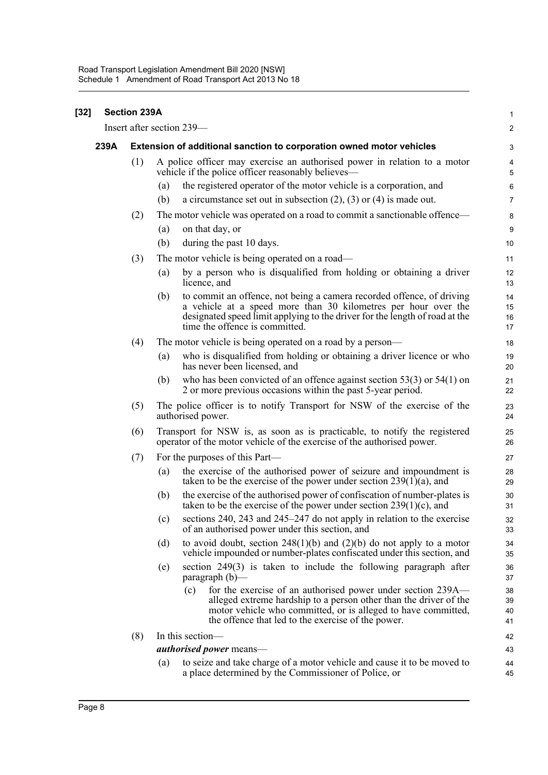| $[32]$ |      | <b>Section 239A</b> |                                                                                                                                                                                                                                                                 | 1                            |
|--------|------|---------------------|-----------------------------------------------------------------------------------------------------------------------------------------------------------------------------------------------------------------------------------------------------------------|------------------------------|
|        |      |                     | Insert after section 239—                                                                                                                                                                                                                                       | $\boldsymbol{2}$             |
|        | 239A |                     | Extension of additional sanction to corporation owned motor vehicles                                                                                                                                                                                            | 3                            |
|        |      | (1)                 | A police officer may exercise an authorised power in relation to a motor<br>vehicle if the police officer reasonably believes—                                                                                                                                  | $\overline{\mathbf{4}}$<br>5 |
|        |      |                     | the registered operator of the motor vehicle is a corporation, and<br>(a)                                                                                                                                                                                       | 6                            |
|        |      |                     | a circumstance set out in subsection $(2)$ , $(3)$ or $(4)$ is made out.<br>(b)                                                                                                                                                                                 | $\overline{7}$               |
|        |      | (2)                 | The motor vehicle was operated on a road to commit a sanctionable offence-                                                                                                                                                                                      | 8                            |
|        |      |                     | (a)<br>on that day, or                                                                                                                                                                                                                                          | $9\,$                        |
|        |      |                     | (b)<br>during the past 10 days.                                                                                                                                                                                                                                 | 10                           |
|        |      | (3)                 | The motor vehicle is being operated on a road—                                                                                                                                                                                                                  | 11                           |
|        |      |                     | by a person who is disqualified from holding or obtaining a driver<br>(a)<br>licence, and                                                                                                                                                                       | 12<br>13                     |
|        |      |                     | to commit an offence, not being a camera recorded offence, of driving<br>(b)<br>a vehicle at a speed more than 30 kilometres per hour over the<br>designated speed limit applying to the driver for the length of road at the<br>time the offence is committed. | 14<br>15<br>16<br>17         |
|        |      | (4)                 | The motor vehicle is being operated on a road by a person—                                                                                                                                                                                                      | 18                           |
|        |      |                     | who is disqualified from holding or obtaining a driver licence or who<br>(a)<br>has never been licensed, and                                                                                                                                                    | 19<br>20                     |
|        |      |                     | who has been convicted of an offence against section $53(3)$ or $54(1)$ on<br>(b)<br>2 or more previous occasions within the past 5-year period.                                                                                                                | 21<br>22                     |
|        |      | (5)                 | The police officer is to notify Transport for NSW of the exercise of the<br>authorised power.                                                                                                                                                                   | 23<br>24                     |
|        |      | (6)                 | Transport for NSW is, as soon as is practicable, to notify the registered<br>operator of the motor vehicle of the exercise of the authorised power.                                                                                                             | 25<br>26                     |
|        |      | (7)                 | For the purposes of this Part-                                                                                                                                                                                                                                  | 27                           |
|        |      |                     | the exercise of the authorised power of seizure and impoundment is<br>(a)<br>taken to be the exercise of the power under section $239(1)(a)$ , and                                                                                                              | 28<br>29                     |
|        |      |                     | the exercise of the authorised power of confiscation of number-plates is<br>(b)<br>taken to be the exercise of the power under section $239(1)(c)$ , and                                                                                                        | 30<br>31                     |
|        |      |                     | sections 240, 243 and 245-247 do not apply in relation to the exercise<br>(c)<br>of an authorised power under this section, and                                                                                                                                 | 32<br>33                     |
|        |      |                     | to avoid doubt, section $248(1)(b)$ and $(2)(b)$ do not apply to a motor<br>(d)<br>vehicle impounded or number-plates confiscated under this section, and                                                                                                       | 34<br>35                     |
|        |      |                     | section $249(3)$ is taken to include the following paragraph after<br>(e)<br>$\frac{1}{2}$ paragraph (b)—                                                                                                                                                       | 36<br>37                     |
|        |      |                     | for the exercise of an authorised power under section 239A—<br>(c)<br>alleged extreme hardship to a person other than the driver of the<br>motor vehicle who committed, or is alleged to have committed,<br>the offence that led to the exercise of the power.  | 38<br>39<br>40<br>41         |
|        |      | (8)                 | In this section-                                                                                                                                                                                                                                                | 42                           |
|        |      |                     | <i>authorised power</i> means—                                                                                                                                                                                                                                  | 43                           |
|        |      |                     | to seize and take charge of a motor vehicle and cause it to be moved to<br>$\left( a\right)$<br>a place determined by the Commissioner of Police, or                                                                                                            | 44<br>45                     |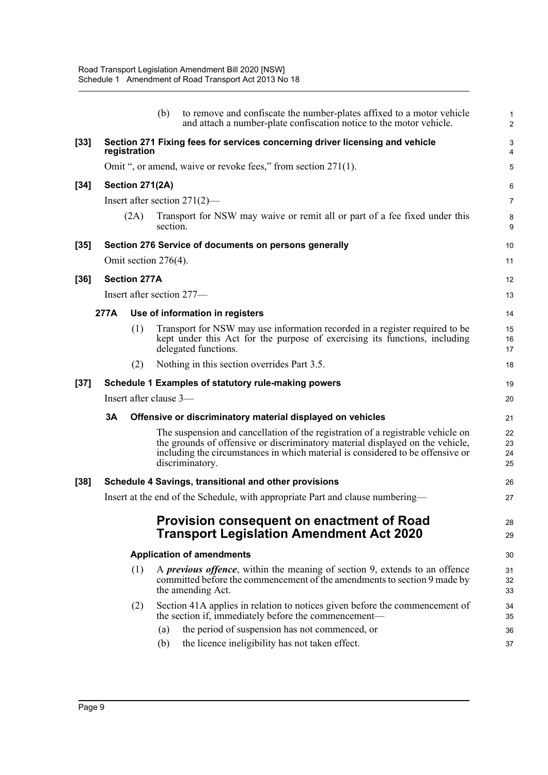|        |      |                         | (b)      | to remove and confiscate the number-plates affixed to a motor vehicle<br>and attach a number-plate confiscation notice to the motor vehicle.                                                                                                                          | 1<br>$\overline{\mathbf{c}}$ |
|--------|------|-------------------------|----------|-----------------------------------------------------------------------------------------------------------------------------------------------------------------------------------------------------------------------------------------------------------------------|------------------------------|
| $[33]$ |      | registration            |          | Section 271 Fixing fees for services concerning driver licensing and vehicle                                                                                                                                                                                          | 3<br>4                       |
|        |      |                         |          | Omit ", or amend, waive or revoke fees," from section 271(1).                                                                                                                                                                                                         | 5                            |
| $[34]$ |      | Section 271(2A)         |          |                                                                                                                                                                                                                                                                       | 6                            |
|        |      |                         |          | Insert after section $271(2)$ —                                                                                                                                                                                                                                       | 7                            |
|        |      | (2A)                    | section. | Transport for NSW may waive or remit all or part of a fee fixed under this                                                                                                                                                                                            | 8<br>9                       |
| [35]   |      |                         |          | Section 276 Service of documents on persons generally                                                                                                                                                                                                                 | 10                           |
|        |      | Omit section $276(4)$ . |          |                                                                                                                                                                                                                                                                       | 11                           |
| [36]   |      | <b>Section 277A</b>     |          |                                                                                                                                                                                                                                                                       | 12                           |
|        |      |                         |          | Insert after section 277-                                                                                                                                                                                                                                             | 13                           |
|        | 277A |                         |          | Use of information in registers                                                                                                                                                                                                                                       | 14                           |
|        |      | (1)                     |          | Transport for NSW may use information recorded in a register required to be<br>kept under this Act for the purpose of exercising its functions, including<br>delegated functions.                                                                                     | 15<br>16<br>17               |
|        |      | (2)                     |          | Nothing in this section overrides Part 3.5.                                                                                                                                                                                                                           | 18                           |
| [37]   |      |                         |          | Schedule 1 Examples of statutory rule-making powers                                                                                                                                                                                                                   | 19                           |
|        |      | Insert after clause 3-  |          |                                                                                                                                                                                                                                                                       | 20                           |
|        | 3A   |                         |          | Offensive or discriminatory material displayed on vehicles                                                                                                                                                                                                            | 21                           |
|        |      |                         |          | The suspension and cancellation of the registration of a registrable vehicle on<br>the grounds of offensive or discriminatory material displayed on the vehicle,<br>including the circumstances in which material is considered to be offensive or<br>discriminatory. | 22<br>23<br>24<br>25         |
| [38]   |      |                         |          | Schedule 4 Savings, transitional and other provisions                                                                                                                                                                                                                 | 26                           |
|        |      |                         |          | Insert at the end of the Schedule, with appropriate Part and clause numbering—                                                                                                                                                                                        | 27                           |
|        |      |                         |          | Provision consequent on enactment of Road<br><b>Transport Legislation Amendment Act 2020</b>                                                                                                                                                                          | 28<br>29                     |
|        |      |                         |          | <b>Application of amendments</b>                                                                                                                                                                                                                                      | 30                           |
|        |      | (1)                     |          | A <i>previous offence</i> , within the meaning of section 9, extends to an offence<br>committed before the commencement of the amendments to section 9 made by<br>the amending Act.                                                                                   | 31<br>32<br>33               |
|        |      | (2)                     |          | Section 41A applies in relation to notices given before the commencement of<br>the section if, immediately before the commencement—                                                                                                                                   | 34<br>35                     |
|        |      |                         | (a)      | the period of suspension has not commenced, or                                                                                                                                                                                                                        | 36                           |
|        |      |                         | (b)      | the licence ineligibility has not taken effect.                                                                                                                                                                                                                       | 37                           |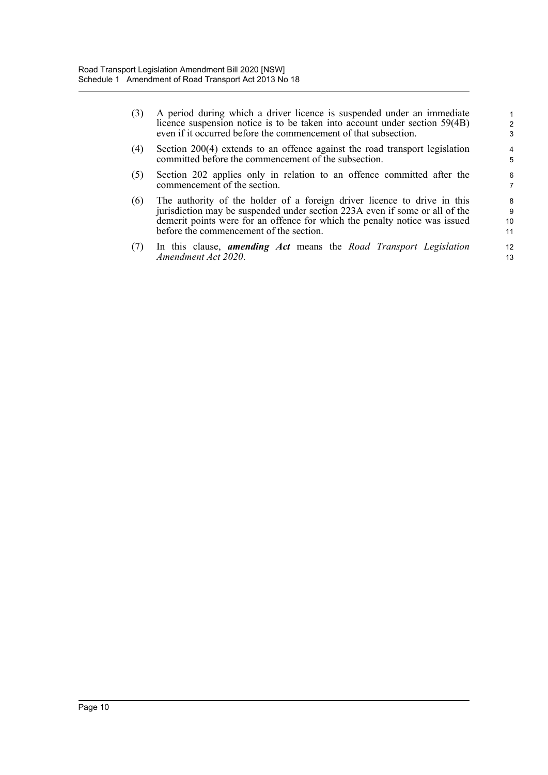| (3) A period during which a driver licence is suspended under an immediate |
|----------------------------------------------------------------------------|
| licence suspension notice is to be taken into account under section 59(4B) |
| even if it occurred before the commencement of that subsection.            |

- (4) Section 200(4) extends to an offence against the road transport legislation committed before the commencement of the subsection.
- (5) Section 202 applies only in relation to an offence committed after the commencement of the section.
- (6) The authority of the holder of a foreign driver licence to drive in this jurisdiction may be suspended under section 223A even if some or all of the demerit points were for an offence for which the penalty notice was issued before the commencement of the section.
- (7) In this clause, *amending Act* means the *Road Transport Legislation Amendment Act 2020*.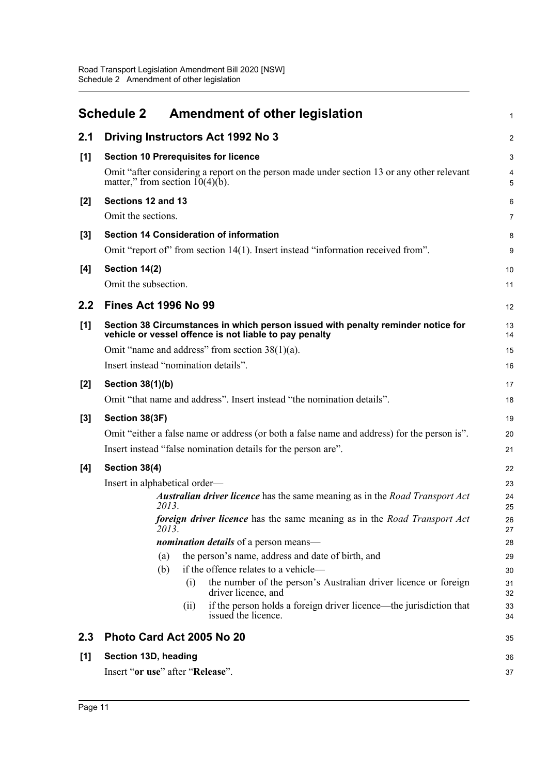<span id="page-15-0"></span>

|       | <b>Schedule 2</b>                                                                                                                                                                                                 |                          | <b>Amendment of other legislation</b>                                                                                                                                                                                                                                            | $\mathbf{1}$                      |  |  |  |
|-------|-------------------------------------------------------------------------------------------------------------------------------------------------------------------------------------------------------------------|--------------------------|----------------------------------------------------------------------------------------------------------------------------------------------------------------------------------------------------------------------------------------------------------------------------------|-----------------------------------|--|--|--|
| 2.1   |                                                                                                                                                                                                                   |                          | Driving Instructors Act 1992 No 3                                                                                                                                                                                                                                                | $\overline{2}$                    |  |  |  |
| [1]   | matter," from section $10(4)(b)$ .                                                                                                                                                                                |                          | <b>Section 10 Prerequisites for licence</b><br>Omit "after considering a report on the person made under section 13 or any other relevant                                                                                                                                        | 3<br>$\overline{\mathbf{4}}$<br>5 |  |  |  |
| $[2]$ | Sections 12 and 13<br>Omit the sections.                                                                                                                                                                          |                          |                                                                                                                                                                                                                                                                                  | 6<br>$\overline{7}$               |  |  |  |
| $[3]$ | <b>Section 14 Consideration of information</b><br>Omit "report of" from section 14(1). Insert instead "information received from".                                                                                |                          |                                                                                                                                                                                                                                                                                  |                                   |  |  |  |
| [4]   | Section 14(2)<br>Omit the subsection.                                                                                                                                                                             |                          |                                                                                                                                                                                                                                                                                  | 10<br>11                          |  |  |  |
| 2.2   | <b>Fines Act 1996 No 99</b>                                                                                                                                                                                       |                          |                                                                                                                                                                                                                                                                                  | 12                                |  |  |  |
| [1]   |                                                                                                                                                                                                                   |                          | Section 38 Circumstances in which person issued with penalty reminder notice for<br>vehicle or vessel offence is not liable to pay penalty                                                                                                                                       | 13<br>14                          |  |  |  |
|       | Omit "name and address" from section $38(1)(a)$ .                                                                                                                                                                 |                          |                                                                                                                                                                                                                                                                                  |                                   |  |  |  |
|       | Insert instead "nomination details".                                                                                                                                                                              |                          |                                                                                                                                                                                                                                                                                  |                                   |  |  |  |
| $[2]$ | Section 38(1)(b)                                                                                                                                                                                                  |                          |                                                                                                                                                                                                                                                                                  | 17                                |  |  |  |
|       |                                                                                                                                                                                                                   |                          | Omit "that name and address". Insert instead "the nomination details".                                                                                                                                                                                                           | 18                                |  |  |  |
| $[3]$ | Section 38(3F)                                                                                                                                                                                                    |                          |                                                                                                                                                                                                                                                                                  |                                   |  |  |  |
|       |                                                                                                                                                                                                                   |                          | Omit "either a false name or address (or both a false name and address) for the person is".<br>Insert instead "false nomination details for the person are".                                                                                                                     | 20<br>21                          |  |  |  |
| [4]   | Section 38(4)                                                                                                                                                                                                     |                          |                                                                                                                                                                                                                                                                                  | 22                                |  |  |  |
|       | Insert in alphabetical order—<br><b>Australian driver licence</b> has the same meaning as in the Road Transport Act<br>2013.<br>foreign driver licence has the same meaning as in the Road Transport Act<br>2013. |                          |                                                                                                                                                                                                                                                                                  |                                   |  |  |  |
|       |                                                                                                                                                                                                                   |                          | <i>nomination details</i> of a person means—                                                                                                                                                                                                                                     | 28                                |  |  |  |
|       |                                                                                                                                                                                                                   | (a)<br>(b)<br>(i)<br>(i) | the person's name, address and date of birth, and<br>if the offence relates to a vehicle-<br>the number of the person's Australian driver licence or foreign<br>driver licence, and<br>if the person holds a foreign driver licence—the jurisdiction that<br>issued the licence. | 29<br>30<br>31<br>32<br>33<br>34  |  |  |  |
| 2.3   | Photo Card Act 2005 No 20                                                                                                                                                                                         |                          |                                                                                                                                                                                                                                                                                  | 35                                |  |  |  |
| [1]   | Section 13D, heading<br>Insert "or use" after "Release".                                                                                                                                                          |                          |                                                                                                                                                                                                                                                                                  | 36<br>37                          |  |  |  |
|       |                                                                                                                                                                                                                   |                          |                                                                                                                                                                                                                                                                                  |                                   |  |  |  |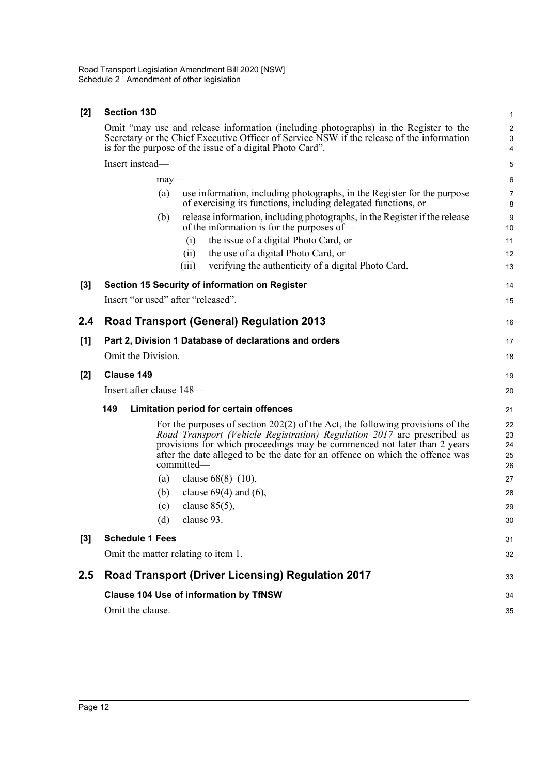### **[2] Section 13D**

| [2] | <b>Section 13D</b>                                                                                                                                                                                                                                                                                                                     | $\mathbf{1}$                      |  |  |  |  |
|-----|----------------------------------------------------------------------------------------------------------------------------------------------------------------------------------------------------------------------------------------------------------------------------------------------------------------------------------------|-----------------------------------|--|--|--|--|
|     | Omit "may use and release information (including photographs) in the Register to the<br>Secretary or the Chief Executive Officer of Service NSW if the release of the information<br>is for the purpose of the issue of a digital Photo Card".                                                                                         | $\sqrt{2}$<br>3<br>$\overline{4}$ |  |  |  |  |
|     | Insert instead-                                                                                                                                                                                                                                                                                                                        | 5                                 |  |  |  |  |
|     | $may$ —                                                                                                                                                                                                                                                                                                                                | 6                                 |  |  |  |  |
|     | use information, including photographs, in the Register for the purpose<br>(a)<br>of exercising its functions, including delegated functions, or                                                                                                                                                                                       | 7<br>8                            |  |  |  |  |
|     | release information, including photographs, in the Register if the release<br>(b)<br>of the information is for the purposes of—                                                                                                                                                                                                        | 9<br>10                           |  |  |  |  |
|     | the issue of a digital Photo Card, or<br>(i)                                                                                                                                                                                                                                                                                           | 11                                |  |  |  |  |
|     | (ii)<br>the use of a digital Photo Card, or                                                                                                                                                                                                                                                                                            | 12                                |  |  |  |  |
|     | verifying the authenticity of a digital Photo Card.<br>(iii)                                                                                                                                                                                                                                                                           | 13                                |  |  |  |  |
| [3] | Section 15 Security of information on Register                                                                                                                                                                                                                                                                                         | 14                                |  |  |  |  |
|     | Insert "or used" after "released".                                                                                                                                                                                                                                                                                                     | 15                                |  |  |  |  |
| 2.4 | <b>Road Transport (General) Regulation 2013</b>                                                                                                                                                                                                                                                                                        | 16                                |  |  |  |  |
| [1] | Part 2, Division 1 Database of declarations and orders                                                                                                                                                                                                                                                                                 | 17                                |  |  |  |  |
|     | Omit the Division.                                                                                                                                                                                                                                                                                                                     | 18                                |  |  |  |  |
| [2] | Clause 149                                                                                                                                                                                                                                                                                                                             | 19                                |  |  |  |  |
|     | Insert after clause 148-                                                                                                                                                                                                                                                                                                               | 20                                |  |  |  |  |
|     | 149<br>Limitation period for certain offences                                                                                                                                                                                                                                                                                          | 21                                |  |  |  |  |
|     | For the purposes of section $202(2)$ of the Act, the following provisions of the<br>Road Transport (Vehicle Registration) Regulation 2017 are prescribed as<br>provisions for which proceedings may be commenced not later than 2 years<br>after the date alleged to be the date for an offence on which the offence was<br>committed- | 22<br>23<br>24<br>25<br>26        |  |  |  |  |
|     | clause $68(8)–(10)$ ,<br>(a)                                                                                                                                                                                                                                                                                                           | 27                                |  |  |  |  |
|     | clause $69(4)$ and $(6)$ ,<br>(b)                                                                                                                                                                                                                                                                                                      | 28                                |  |  |  |  |
|     | clause $85(5)$ ,<br>(c)                                                                                                                                                                                                                                                                                                                | 29                                |  |  |  |  |
|     | (d)<br>clause 93.                                                                                                                                                                                                                                                                                                                      | 30                                |  |  |  |  |
| [3] | <b>Schedule 1 Fees</b>                                                                                                                                                                                                                                                                                                                 | 31                                |  |  |  |  |
|     | Omit the matter relating to item 1.                                                                                                                                                                                                                                                                                                    | 32                                |  |  |  |  |
| 2.5 | <b>Road Transport (Driver Licensing) Regulation 2017</b>                                                                                                                                                                                                                                                                               | 33                                |  |  |  |  |
|     | <b>Clause 104 Use of information by TfNSW</b>                                                                                                                                                                                                                                                                                          |                                   |  |  |  |  |
|     | Omit the clause.                                                                                                                                                                                                                                                                                                                       | 35                                |  |  |  |  |
|     |                                                                                                                                                                                                                                                                                                                                        |                                   |  |  |  |  |